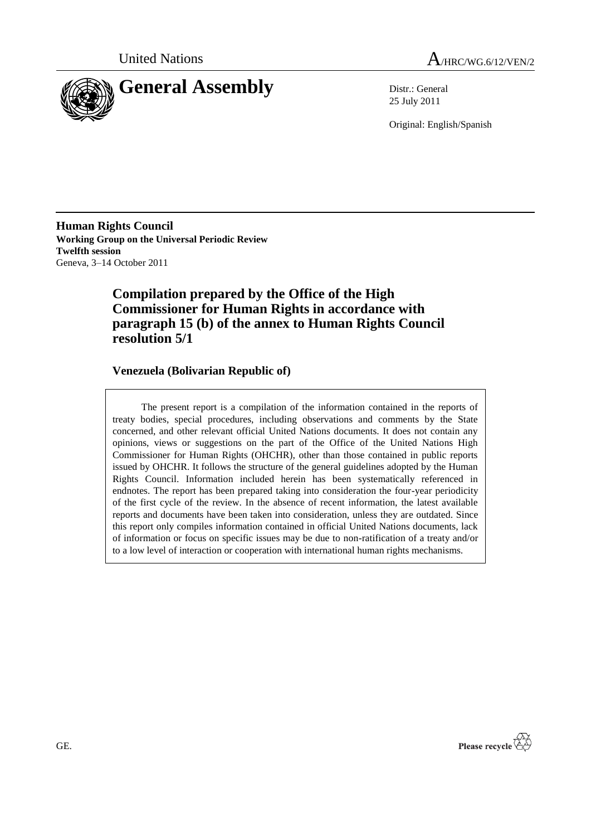



25 July 2011

Original: English/Spanish

**Human Rights Council Working Group on the Universal Periodic Review Twelfth session** Geneva, 3–14 October 2011

# **Compilation prepared by the Office of the High Commissioner for Human Rights in accordance with paragraph 15 (b) of the annex to Human Rights Council resolution 5/1**

### **Venezuela (Bolivarian Republic of)**

The present report is a compilation of the information contained in the reports of treaty bodies, special procedures, including observations and comments by the State concerned, and other relevant official United Nations documents. It does not contain any opinions, views or suggestions on the part of the Office of the United Nations High Commissioner for Human Rights (OHCHR), other than those contained in public reports issued by OHCHR. It follows the structure of the general guidelines adopted by the Human Rights Council. Information included herein has been systematically referenced in endnotes. The report has been prepared taking into consideration the four-year periodicity of the first cycle of the review. In the absence of recent information, the latest available reports and documents have been taken into consideration, unless they are outdated. Since this report only compiles information contained in official United Nations documents, lack of information or focus on specific issues may be due to non-ratification of a treaty and/or to a low level of interaction or cooperation with international human rights mechanisms.

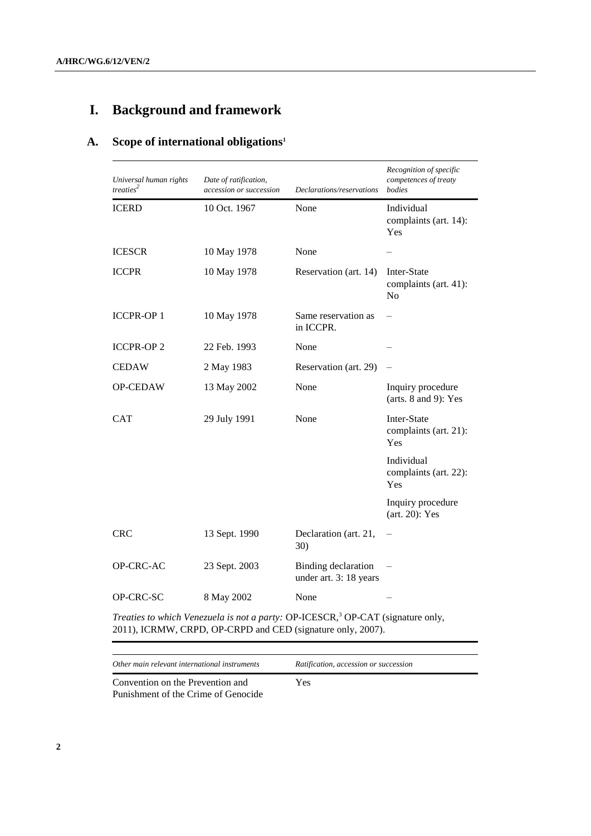# **I. Background and framework**

# **A. Scope of international obligations<sup>1</sup>**

| Universal human rights<br>treaties <sup>2</sup>                                             | Date of ratification,<br>accession or succession | Declarations/reservations                            | Recognition of specific<br>competences of treaty<br>bodies |
|---------------------------------------------------------------------------------------------|--------------------------------------------------|------------------------------------------------------|------------------------------------------------------------|
| <b>ICERD</b>                                                                                | 10 Oct. 1967                                     | None                                                 | Individual<br>complaints (art. 14):<br>Yes                 |
| <b>ICESCR</b>                                                                               | 10 May 1978                                      | None                                                 |                                                            |
| <b>ICCPR</b>                                                                                | 10 May 1978                                      | Reservation (art. 14)                                | Inter-State<br>complaints (art. 41):<br>N <sub>o</sub>     |
| <b>ICCPR-OP1</b>                                                                            | 10 May 1978                                      | Same reservation as<br>in ICCPR.                     |                                                            |
| <b>ICCPR-OP2</b>                                                                            | 22 Feb. 1993                                     | None                                                 |                                                            |
| <b>CEDAW</b>                                                                                | 2 May 1983                                       | Reservation (art. 29)                                |                                                            |
| OP-CEDAW                                                                                    | 13 May 2002                                      | None                                                 | Inquiry procedure<br>(arts. $8$ and $9$ ): Yes             |
| <b>CAT</b>                                                                                  | 29 July 1991                                     | None                                                 | Inter-State<br>complaints (art. 21):<br>Yes                |
|                                                                                             |                                                  |                                                      | Individual<br>complaints (art. 22):<br>Yes                 |
|                                                                                             |                                                  |                                                      | Inquiry procedure<br>$(art. 20)$ : Yes                     |
| <b>CRC</b>                                                                                  | 13 Sept. 1990                                    | Declaration (art. 21,<br>30)                         |                                                            |
| OP-CRC-AC                                                                                   | 23 Sept. 2003                                    | <b>Binding</b> declaration<br>under art. 3: 18 years |                                                            |
| OP-CRC-SC                                                                                   | 8 May 2002                                       | None                                                 |                                                            |
| Treaties to which Venezuela is not a party: OP-ICESCR, <sup>3</sup> OP-CAT (signature only, |                                                  |                                                      |                                                            |

2011), ICRMW, CRPD, OP-CRPD and CED (signature only, 2007).

*Other main relevant international instruments Ratification, accession or succession*

Convention on the Prevention and Punishment of the Crime of Genocide Yes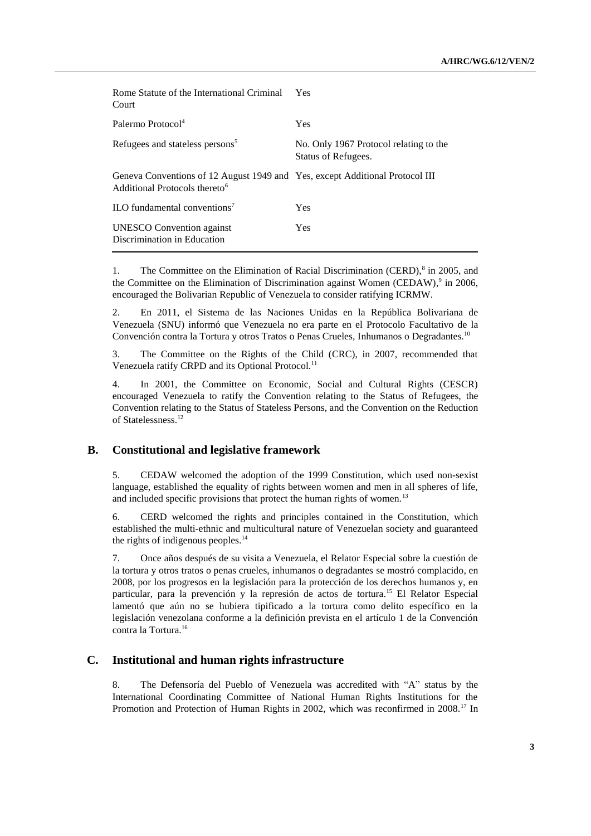| Rome Statute of the International Criminal<br>Court                                                                       | <b>Yes</b>                                                    |
|---------------------------------------------------------------------------------------------------------------------------|---------------------------------------------------------------|
| Palermo Protocol <sup>4</sup>                                                                                             | <b>Yes</b>                                                    |
| Refugees and stateless persons <sup>5</sup>                                                                               | No. Only 1967 Protocol relating to the<br>Status of Refugees. |
| Geneva Conventions of 12 August 1949 and Yes, except Additional Protocol III<br>Additional Protocols thereto <sup>6</sup> |                                                               |
| ILO fundamental conventions <sup>7</sup>                                                                                  | <b>Yes</b>                                                    |
| <b>UNESCO</b> Convention against<br>Discrimination in Education                                                           | <b>Yes</b>                                                    |

1. The Committee on the Elimination of Racial Discrimination (CERD),<sup>8</sup> in 2005, and the Committee on the Elimination of Discrimination against Women (CEDAW),<sup>9</sup> in 2006, encouraged the Bolivarian Republic of Venezuela to consider ratifying ICRMW.

2. En 2011, el Sistema de las Naciones Unidas en la República Bolivariana de Venezuela (SNU) informó que Venezuela no era parte en el Protocolo Facultativo de la Convención contra la Tortura y otros Tratos o Penas Crueles, Inhumanos o Degradantes.<sup>10</sup>

3. The Committee on the Rights of the Child (CRC), in 2007, recommended that Venezuela ratify CRPD and its Optional Protocol.<sup>11</sup>

4. In 2001, the Committee on Economic, Social and Cultural Rights (CESCR) encouraged Venezuela to ratify the Convention relating to the Status of Refugees, the Convention relating to the Status of Stateless Persons, and the Convention on the Reduction of Statelessness.<sup>12</sup>

#### **B. Constitutional and legislative framework**

5. CEDAW welcomed the adoption of the 1999 Constitution, which used non-sexist language, established the equality of rights between women and men in all spheres of life, and included specific provisions that protect the human rights of women.<sup>13</sup>

6. CERD welcomed the rights and principles contained in the Constitution, which established the multi-ethnic and multicultural nature of Venezuelan society and guaranteed the rights of indigenous peoples. $^{14}$ 

7. Once años después de su visita a Venezuela, el Relator Especial sobre la cuestión de la tortura y otros tratos o penas crueles, inhumanos o degradantes se mostró complacido, en 2008, por los progresos en la legislación para la protección de los derechos humanos y, en particular, para la prevención y la represión de actos de tortura.<sup>15</sup> El Relator Especial lamentó que aún no se hubiera tipificado a la tortura como delito específico en la legislación venezolana conforme a la definición prevista en el artículo 1 de la Convención contra la Tortura.<sup>16</sup>

#### **C. Institutional and human rights infrastructure**

8. The Defensoría del Pueblo of Venezuela was accredited with "A" status by the International Coordinating Committee of National Human Rights Institutions for the Promotion and Protection of Human Rights in 2002, which was reconfirmed in 2008.<sup>17</sup> In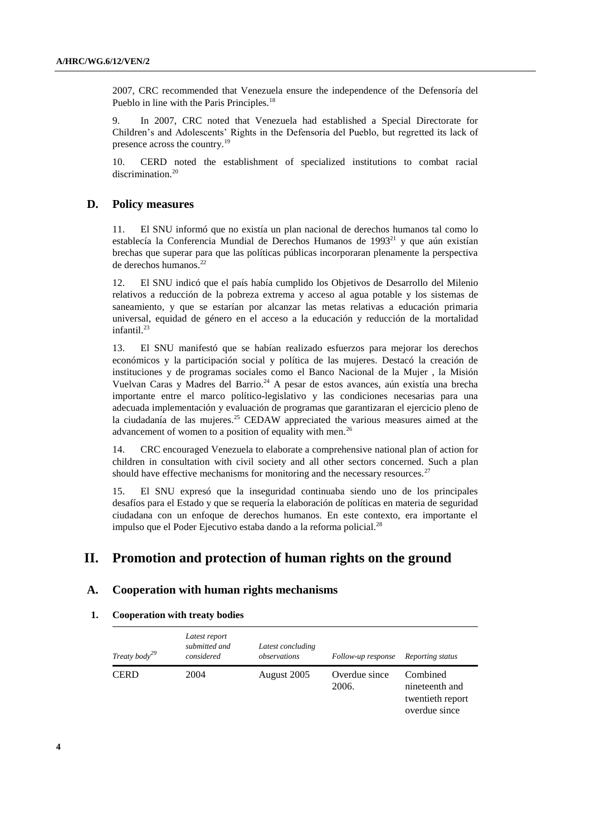2007, CRC recommended that Venezuela ensure the independence of the Defensoría del Pueblo in line with the Paris Principles.<sup>18</sup>

9. In 2007, CRC noted that Venezuela had established a Special Directorate for Children's and Adolescents' Rights in the Defensoría del Pueblo, but regretted its lack of presence across the country.<sup>19</sup>

10. CERD noted the establishment of specialized institutions to combat racial discrimination.<sup>20</sup>

#### **D. Policy measures**

11. El SNU informó que no existía un plan nacional de derechos humanos tal como lo establecía la Conferencia Mundial de Derechos Humanos de 1993 $^{21}$  y que aún existían brechas que superar para que las políticas públicas incorporaran plenamente la perspectiva de derechos humanos.<sup>22</sup>

12. El SNU indicó que el país había cumplido los Objetivos de Desarrollo del Milenio relativos a reducción de la pobreza extrema y acceso al agua potable y los sistemas de saneamiento, y que se estarían por alcanzar las metas relativas a educación primaria universal, equidad de género en el acceso a la educación y reducción de la mortalidad infantil.<sup>23</sup>

13. El SNU manifestó que se habían realizado esfuerzos para mejorar los derechos económicos y la participación social y política de las mujeres. Destacó la creación de instituciones y de programas sociales como el Banco Nacional de la Mujer , la Misión Vuelvan Caras y Madres del Barrio.<sup>24</sup> A pesar de estos avances, aún existía una brecha importante entre el marco político-legislativo y las condiciones necesarias para una adecuada implementación y evaluación de programas que garantizaran el ejercicio pleno de la ciudadanía de las mujeres.<sup>25</sup> CEDAW appreciated the various measures aimed at the advancement of women to a position of equality with men.<sup>26</sup>

14. CRC encouraged Venezuela to elaborate a comprehensive national plan of action for children in consultation with civil society and all other sectors concerned. Such a plan should have effective mechanisms for monitoring and the necessary resources.<sup>27</sup>

15. El SNU expresó que la inseguridad continuaba siendo uno de los principales desafíos para el Estado y que se requería la elaboración de políticas en materia de seguridad ciudadana con un enfoque de derechos humanos. En este contexto, era importante el impulso que el Poder Ejecutivo estaba dando a la reforma policial.<sup>28</sup>

# **II. Promotion and protection of human rights on the ground**

#### **A. Cooperation with human rights mechanisms**

#### **1. Cooperation with treaty bodies**

| Treaty body <sup>29</sup> | Latest report<br>submitted and<br>considered | Latest concluding<br>observations | Follow-up response     | Reporting status                                                |
|---------------------------|----------------------------------------------|-----------------------------------|------------------------|-----------------------------------------------------------------|
| <b>CERD</b>               | 2004                                         | August 2005                       | Overdue since<br>2006. | Combined<br>nineteenth and<br>twentieth report<br>overdue since |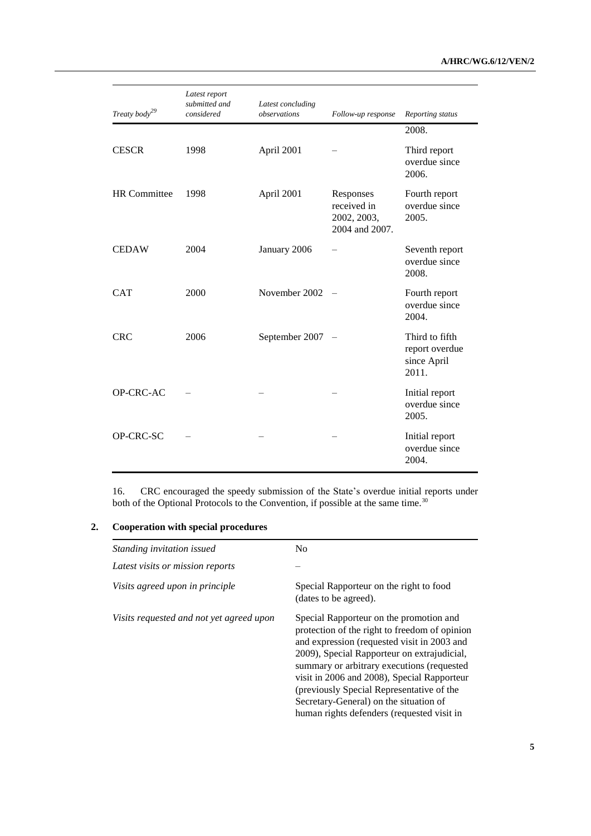| Treaty body <sup>29</sup> | Latest report<br>submitted and<br>considered | Latest concluding<br>observations | Follow-up response                                        | Reporting status                                         |
|---------------------------|----------------------------------------------|-----------------------------------|-----------------------------------------------------------|----------------------------------------------------------|
|                           |                                              |                                   |                                                           | 2008.                                                    |
| <b>CESCR</b>              | 1998                                         | April 2001                        |                                                           | Third report<br>overdue since<br>2006.                   |
| <b>HR</b> Committee       | 1998                                         | April 2001                        | Responses<br>received in<br>2002, 2003,<br>2004 and 2007. | Fourth report<br>overdue since<br>2005.                  |
| <b>CEDAW</b>              | 2004                                         | January 2006                      |                                                           | Seventh report<br>overdue since<br>2008.                 |
| <b>CAT</b>                | 2000                                         | November 2002                     |                                                           | Fourth report<br>overdue since<br>2004.                  |
| <b>CRC</b>                | 2006                                         | September 2007                    |                                                           | Third to fifth<br>report overdue<br>since April<br>2011. |
| OP-CRC-AC                 |                                              |                                   |                                                           | Initial report<br>overdue since<br>2005.                 |
| OP-CRC-SC                 |                                              |                                   |                                                           | Initial report<br>overdue since<br>2004.                 |

16. CRC encouraged the speedy submission of the State's overdue initial reports under both of the Optional Protocols to the Convention, if possible at the same time.<sup>30</sup>

### **2. Cooperation with special procedures**

| Standing invitation issued               | N <sub>0</sub>                                                                                                                                                                                                                                                                                                                                                                                                           |
|------------------------------------------|--------------------------------------------------------------------------------------------------------------------------------------------------------------------------------------------------------------------------------------------------------------------------------------------------------------------------------------------------------------------------------------------------------------------------|
| Latest visits or mission reports         |                                                                                                                                                                                                                                                                                                                                                                                                                          |
| Visits agreed upon in principle          | Special Rapporteur on the right to food<br>(dates to be agreed).                                                                                                                                                                                                                                                                                                                                                         |
| Visits requested and not yet agreed upon | Special Rapporteur on the promotion and<br>protection of the right to freedom of opinion<br>and expression (requested visit in 2003 and<br>2009), Special Rapporteur on extrajudicial,<br>summary or arbitrary executions (requested<br>visit in 2006 and 2008), Special Rapporteur<br>(previously Special Representative of the<br>Secretary-General) on the situation of<br>human rights defenders (requested visit in |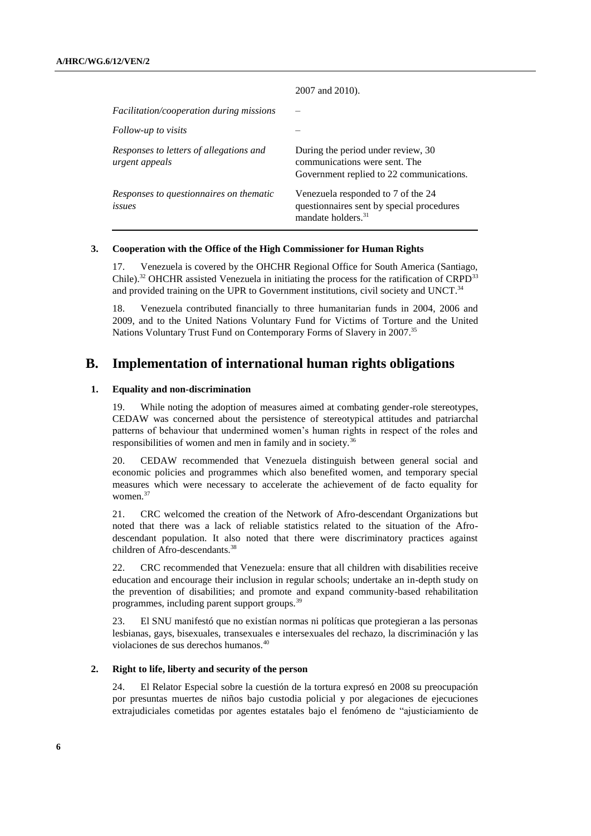|                                                           | 2007 and 2010).                                                                                                   |
|-----------------------------------------------------------|-------------------------------------------------------------------------------------------------------------------|
| Facilitation/cooperation during missions                  |                                                                                                                   |
| Follow-up to visits                                       |                                                                                                                   |
| Responses to letters of allegations and<br>urgent appeals | During the period under review, 30<br>communications were sent. The<br>Government replied to 22 communications.   |
| Responses to questionnaires on thematic<br>issues         | Venezuela responded to 7 of the 24<br>questionnaires sent by special procedures<br>mandate holders. <sup>31</sup> |

#### **3. Cooperation with the Office of the High Commissioner for Human Rights**

17. Venezuela is covered by the OHCHR Regional Office for South America (Santiago, Chile).<sup>32</sup> OHCHR assisted Venezuela in initiating the process for the ratification of CRPD<sup>33</sup> and provided training on the UPR to Government institutions, civil society and UNCT.<sup>34</sup>

18. Venezuela contributed financially to three humanitarian funds in 2004, 2006 and 2009, and to the United Nations Voluntary Fund for Victims of Torture and the United Nations Voluntary Trust Fund on Contemporary Forms of Slavery in 2007.<sup>35</sup>

## **B. Implementation of international human rights obligations**

#### **1. Equality and non-discrimination**

19. While noting the adoption of measures aimed at combating gender-role stereotypes, CEDAW was concerned about the persistence of stereotypical attitudes and patriarchal patterns of behaviour that undermined women's human rights in respect of the roles and responsibilities of women and men in family and in society.<sup>36</sup>

20. CEDAW recommended that Venezuela distinguish between general social and economic policies and programmes which also benefited women, and temporary special measures which were necessary to accelerate the achievement of de facto equality for women.<sup>37</sup>

21. CRC welcomed the creation of the Network of Afro-descendant Organizations but noted that there was a lack of reliable statistics related to the situation of the Afrodescendant population. It also noted that there were discriminatory practices against children of Afro-descendants.<sup>38</sup>

22. CRC recommended that Venezuela: ensure that all children with disabilities receive education and encourage their inclusion in regular schools; undertake an in-depth study on the prevention of disabilities; and promote and expand community-based rehabilitation programmes, including parent support groups.<sup>39</sup>

23. El SNU manifestó que no existían normas ni políticas que protegieran a las personas lesbianas, gays, bisexuales, transexuales e intersexuales del rechazo, la discriminación y las violaciones de sus derechos humanos.<sup>40</sup>

#### **2. Right to life, liberty and security of the person**

24. El Relator Especial sobre la cuestión de la tortura expresó en 2008 su preocupación por presuntas muertes de niños bajo custodia policial y por alegaciones de ejecuciones extrajudiciales cometidas por agentes estatales bajo el fenómeno de "ajusticiamiento de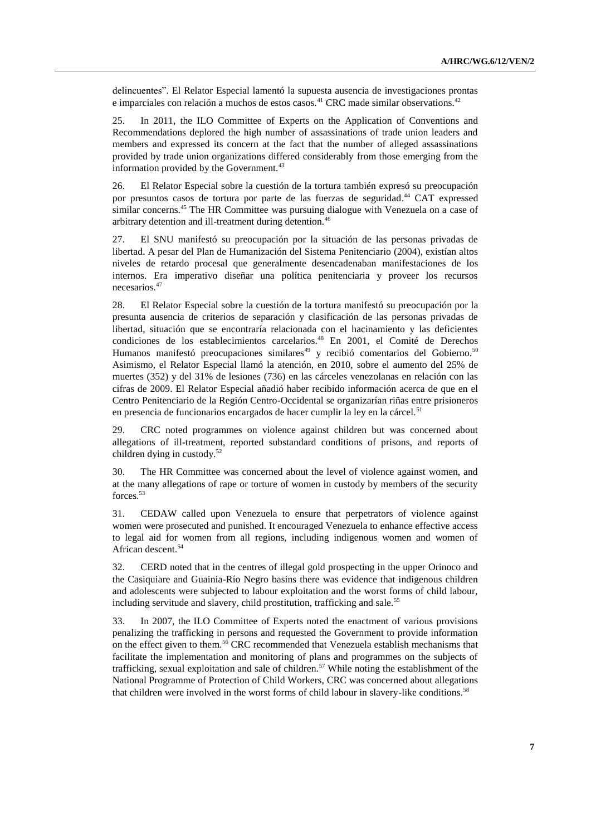delincuentes". El Relator Especial lamentó la supuesta ausencia de investigaciones prontas e imparciales con relación a muchos de estos casos.<sup>41</sup> CRC made similar observations.<sup>42</sup>

25. In 2011, the ILO Committee of Experts on the Application of Conventions and Recommendations deplored the high number of assassinations of trade union leaders and members and expressed its concern at the fact that the number of alleged assassinations provided by trade union organizations differed considerably from those emerging from the information provided by the Government.<sup>43</sup>

26. El Relator Especial sobre la cuestión de la tortura también expresó su preocupación por presuntos casos de tortura por parte de las fuerzas de seguridad. <sup>44</sup> CAT expressed similar concerns. <sup>45</sup> The HR Committee was pursuing dialogue with Venezuela on a case of arbitrary detention and ill-treatment during detention.<sup>46</sup>

27. El SNU manifestó su preocupación por la situación de las personas privadas de libertad. A pesar del Plan de Humanización del Sistema Penitenciario (2004), existían altos niveles de retardo procesal que generalmente desencadenaban manifestaciones de los internos. Era imperativo diseñar una política penitenciaria y proveer los recursos necesarios.<sup>47</sup>

28. El Relator Especial sobre la cuestión de la tortura manifestó su preocupación por la presunta ausencia de criterios de separación y clasificación de las personas privadas de libertad, situación que se encontraría relacionada con el hacinamiento y las deficientes condiciones de los establecimientos carcelarios.<sup>48</sup> En 2001, el Comité de Derechos Humanos manifestó preocupaciones similares<sup>49</sup> y recibió comentarios del Gobierno.<sup>50</sup> Asimismo, el Relator Especial llamó la atención, en 2010, sobre el aumento del 25% de muertes (352) y del 31% de lesiones (736) en las cárceles venezolanas en relación con las cifras de 2009. El Relator Especial añadió haber recibido información acerca de que en el Centro Penitenciario de la Región Centro-Occidental se organizarían riñas entre prisioneros en presencia de funcionarios encargados de hacer cumplir la ley en la cárcel.<sup>51</sup>

29. CRC noted programmes on violence against children but was concerned about allegations of ill-treatment, reported substandard conditions of prisons, and reports of children dying in custody.<sup>52</sup>

30. The HR Committee was concerned about the level of violence against women, and at the many allegations of rape or torture of women in custody by members of the security forces.<sup>53</sup>

31. CEDAW called upon Venezuela to ensure that perpetrators of violence against women were prosecuted and punished. It encouraged Venezuela to enhance effective access to legal aid for women from all regions, including indigenous women and women of African descent.<sup>54</sup>

32. CERD noted that in the centres of illegal gold prospecting in the upper Orinoco and the Casiquiare and Guainia-Río Negro basins there was evidence that indigenous children and adolescents were subjected to labour exploitation and the worst forms of child labour, including servitude and slavery, child prostitution, trafficking and sale.<sup>55</sup>

33. In 2007, the ILO Committee of Experts noted the enactment of various provisions penalizing the trafficking in persons and requested the Government to provide information on the effect given to them.<sup>56</sup> CRC recommended that Venezuela establish mechanisms that facilitate the implementation and monitoring of plans and programmes on the subjects of trafficking, sexual exploitation and sale of children.<sup>57</sup> While noting the establishment of the National Programme of Protection of Child Workers, CRC was concerned about allegations that children were involved in the worst forms of child labour in slavery-like conditions.<sup>58</sup>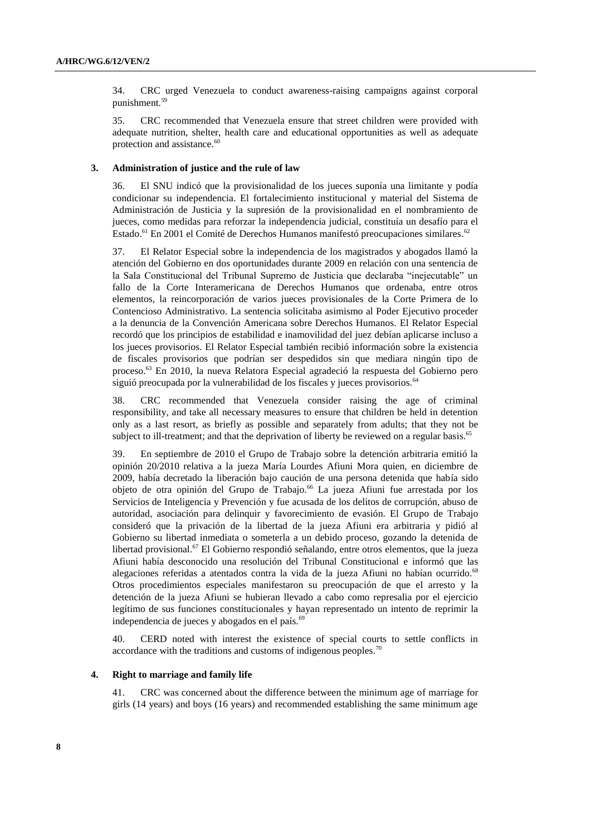34. CRC urged Venezuela to conduct awareness-raising campaigns against corporal punishment.<sup>59</sup>

35. CRC recommended that Venezuela ensure that street children were provided with adequate nutrition, shelter, health care and educational opportunities as well as adequate protection and assistance.<sup>60</sup>

#### **3. Administration of justice and the rule of law**

36. El SNU indicó que la provisionalidad de los jueces suponía una limitante y podía condicionar su independencia. El fortalecimiento institucional y material del Sistema de Administración de Justicia y la supresión de la provisionalidad en el nombramiento de jueces, como medidas para reforzar la independencia judicial, constituía un desafío para el Estado.<sup>61</sup> En 2001 el Comité de Derechos Humanos manifestó preocupaciones similares.<sup>62</sup>

37. El Relator Especial sobre la independencia de los magistrados y abogados llamó la atención del Gobierno en dos oportunidades durante 2009 en relación con una sentencia de la Sala Constitucional del Tribunal Supremo de Justicia que declaraba "inejecutable" un fallo de la Corte Interamericana de Derechos Humanos que ordenaba, entre otros elementos, la reincorporación de varios jueces provisionales de la Corte Primera de lo Contencioso Administrativo. La sentencia solicitaba asimismo al Poder Ejecutivo proceder a la denuncia de la Convención Americana sobre Derechos Humanos. El Relator Especial recordó que los principios de estabilidad e inamovilidad del juez debían aplicarse incluso a los jueces provisorios. El Relator Especial también recibió información sobre la existencia de fiscales provisorios que podrían ser despedidos sin que mediara ningún tipo de proceso.<sup>63</sup> En 2010, la nueva Relatora Especial agradeció la respuesta del Gobierno pero siguió preocupada por la vulnerabilidad de los fiscales y jueces provisorios.<sup>64</sup>

38. CRC recommended that Venezuela consider raising the age of criminal responsibility, and take all necessary measures to ensure that children be held in detention only as a last resort, as briefly as possible and separately from adults; that they not be subject to ill-treatment; and that the deprivation of liberty be reviewed on a regular basis.<sup>65</sup>

39. En septiembre de 2010 el Grupo de Trabajo sobre la detención arbitraria emitió la opinión 20/2010 relativa a la jueza María Lourdes Afiuni Mora quien, en diciembre de 2009, había decretado la liberación bajo caución de una persona detenida que había sido objeto de otra opinión del Grupo de Trabajo.<sup>66</sup> La jueza Afiuni fue arrestada por los Servicios de Inteligencia y Prevención y fue acusada de los delitos de corrupción, abuso de autoridad, asociación para delinquir y favorecimiento de evasión. El Grupo de Trabajo consideró que la privación de la libertad de la jueza Afiuni era arbitraria y pidió al Gobierno su libertad inmediata o someterla a un debido proceso, gozando la detenida de libertad provisional.<sup>67</sup> El Gobierno respondió señalando, entre otros elementos, que la jueza Afiuni había desconocido una resolución del Tribunal Constitucional e informó que las alegaciones referidas a atentados contra la vida de la jueza Afiuni no habían ocurrido.<sup>68</sup> Otros procedimientos especiales manifestaron su preocupación de que el arresto y la detención de la jueza Afiuni se hubieran llevado a cabo como represalia por el ejercicio legítimo de sus funciones constitucionales y hayan representado un intento de reprimir la independencia de jueces y abogados en el país.<sup>69</sup>

40. CERD noted with interest the existence of special courts to settle conflicts in accordance with the traditions and customs of indigenous peoples.<sup>70</sup>

#### **4. Right to marriage and family life**

41. CRC was concerned about the difference between the minimum age of marriage for girls (14 years) and boys (16 years) and recommended establishing the same minimum age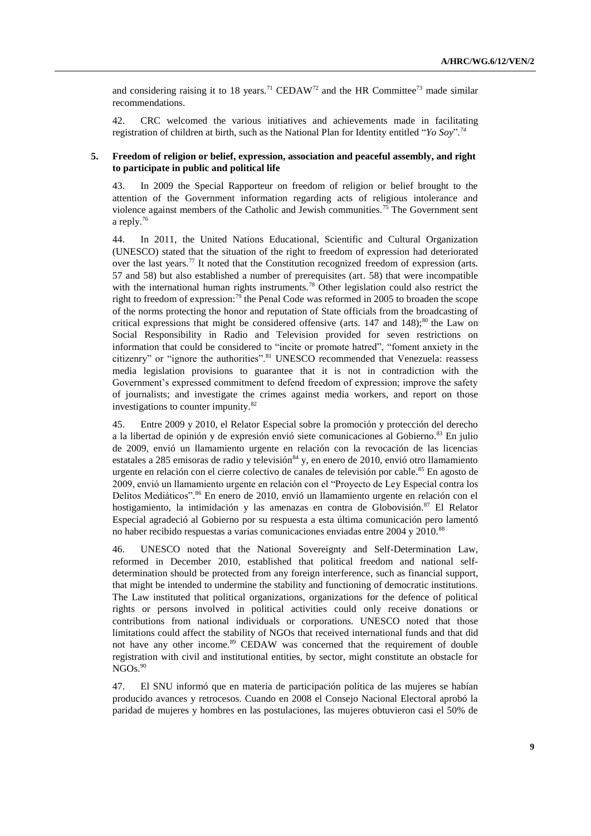and considering raising it to 18 years.<sup>71</sup> CEDAW<sup>72</sup> and the HR Committee<sup>73</sup> made similar recommendations.

42. CRC welcomed the various initiatives and achievements made in facilitating registration of children at birth, such as the National Plan for Identity entitled "*Yo Soy*"*. 74*

#### **5. Freedom of religion or belief, expression, association and peaceful assembly, and right to participate in public and political life**

43. In 2009 the Special Rapporteur on freedom of religion or belief brought to the attention of the Government information regarding acts of religious intolerance and violence against members of the Catholic and Jewish communities.<sup>75</sup> The Government sent a reply.<sup>76</sup>

44. In 2011, the United Nations Educational, Scientific and Cultural Organization (UNESCO) stated that the situation of the right to freedom of expression had deteriorated over the last years.<sup>77</sup> It noted that the Constitution recognized freedom of expression (arts. 57 and 58) but also established a number of prerequisites (art. 58) that were incompatible with the international human rights instruments.<sup>78</sup> Other legislation could also restrict the right to freedom of expression:<sup>79</sup> the Penal Code was reformed in 2005 to broaden the scope of the norms protecting the honor and reputation of State officials from the broadcasting of critical expressions that might be considered offensive (arts.  $147$  and  $148$ );<sup>80</sup> the Law on Social Responsibility in Radio and Television provided for seven restrictions on information that could be considered to "incite or promote hatred", "foment anxiety in the citizenry" or "ignore the authorities".<sup>81</sup> UNESCO recommended that Venezuela: reassess media legislation provisions to guarantee that it is not in contradiction with the Government's expressed commitment to defend freedom of expression; improve the safety of journalists; and investigate the crimes against media workers, and report on those investigations to counter impunity.<sup>82</sup>

45. Entre 2009 y 2010, el Relator Especial sobre la promoción y protección del derecho a la libertad de opinión y de expresión envió siete comunicaciones al Gobierno.<sup>83</sup> En julio de 2009, envió un llamamiento urgente en relación con la revocación de las licencias estatales a 285 emisoras de radio y televisión  $84$  y, en enero de 2010, envió otro llamamiento urgente en relación con el cierre colectivo de canales de televisión por cable.<sup>85</sup> En agosto de 2009, envió un llamamiento urgente en relación con el "Proyecto de Ley Especial contra los Delitos Mediáticos".<sup>86</sup> En enero de 2010, envió un llamamiento urgente en relación con el hostigamiento, la intimidación y las amenazas en contra de Globovisión.<sup>87</sup> El Relator Especial agradeció al Gobierno por su respuesta a esta última comunicación pero lamentó no haber recibido respuestas a varias comunicaciones enviadas entre  $2004$  y  $2010$ .<sup>88</sup>

46. UNESCO noted that the National Sovereignty and Self-Determination Law, reformed in December 2010, established that political freedom and national selfdetermination should be protected from any foreign interference, such as financial support, that might be intended to undermine the stability and functioning of democratic institutions. The Law instituted that political organizations, organizations for the defence of political rights or persons involved in political activities could only receive donations or contributions from national individuals or corporations. UNESCO noted that those limitations could affect the stability of NGOs that received international funds and that did not have any other income.<sup>89</sup> CEDAW was concerned that the requirement of double registration with civil and institutional entities, by sector, might constitute an obstacle for NGOs.<sup>90</sup>

47. El SNU informó que en materia de participación política de las mujeres se habían producido avances y retrocesos. Cuando en 2008 el Consejo Nacional Electoral aprobó la paridad de mujeres y hombres en las postulaciones, las mujeres obtuvieron casi el 50% de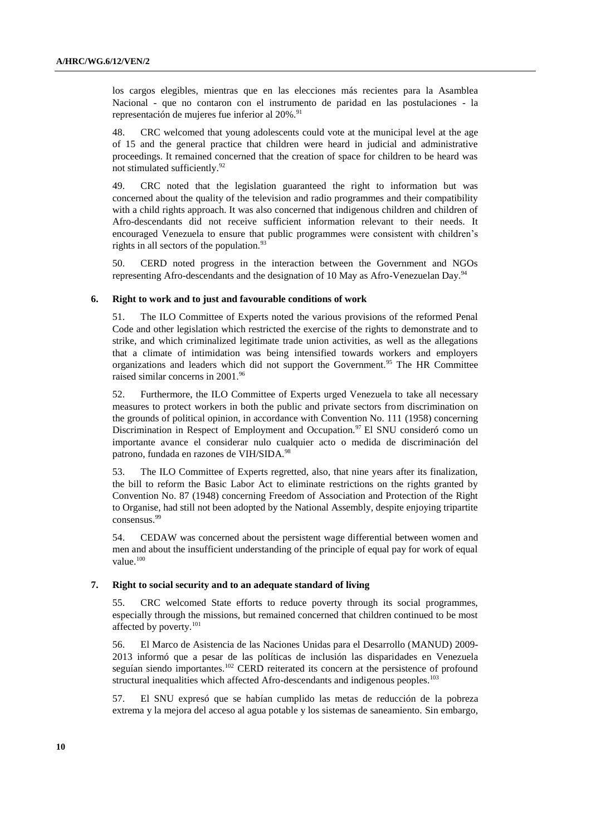los cargos elegibles, mientras que en las elecciones más recientes para la Asamblea Nacional - que no contaron con el instrumento de paridad en las postulaciones - la representación de mujeres fue inferior al 20%.<sup>91</sup>

48. CRC welcomed that young adolescents could vote at the municipal level at the age of 15 and the general practice that children were heard in judicial and administrative proceedings. It remained concerned that the creation of space for children to be heard was not stimulated sufficiently.<sup>92</sup>

49. CRC noted that the legislation guaranteed the right to information but was concerned about the quality of the television and radio programmes and their compatibility with a child rights approach. It was also concerned that indigenous children and children of Afro-descendants did not receive sufficient information relevant to their needs. It encouraged Venezuela to ensure that public programmes were consistent with children's rights in all sectors of the population. $93$ 

50. CERD noted progress in the interaction between the Government and NGOs representing Afro-descendants and the designation of 10 May as Afro-Venezuelan Day.<sup>94</sup>

#### **6. Right to work and to just and favourable conditions of work**

51. The ILO Committee of Experts noted the various provisions of the reformed Penal Code and other legislation which restricted the exercise of the rights to demonstrate and to strike, and which criminalized legitimate trade union activities, as well as the allegations that a climate of intimidation was being intensified towards workers and employers organizations and leaders which did not support the Government.<sup>95</sup> The HR Committee raised similar concerns in 2001.<sup>96</sup>

52. Furthermore, the ILO Committee of Experts urged Venezuela to take all necessary measures to protect workers in both the public and private sectors from discrimination on the grounds of political opinion, in accordance with Convention No. 111 (1958) concerning Discrimination in Respect of Employment and Occupation.<sup>97</sup> El SNU consideró como un importante avance el considerar nulo cualquier acto o medida de discriminación del patrono, fundada en razones de VIH/SIDA.<sup>98</sup>

53. The ILO Committee of Experts regretted, also, that nine years after its finalization, the bill to reform the Basic Labor Act to eliminate restrictions on the rights granted by Convention No. 87 (1948) concerning Freedom of Association and Protection of the Right to Organise, had still not been adopted by the National Assembly, despite enjoying tripartite consensus.<sup>99</sup>

54. CEDAW was concerned about the persistent wage differential between women and men and about the insufficient understanding of the principle of equal pay for work of equal value.<sup>100</sup>

#### **7. Right to social security and to an adequate standard of living**

55. CRC welcomed State efforts to reduce poverty through its social programmes, especially through the missions, but remained concerned that children continued to be most affected by poverty.<sup>101</sup>

56. El Marco de Asistencia de las Naciones Unidas para el Desarrollo (MANUD) 2009- 2013 informó que a pesar de las políticas de inclusión las disparidades en Venezuela seguían siendo importantes.<sup>102</sup> CERD reiterated its concern at the persistence of profound structural inequalities which affected Afro-descendants and indigenous peoples.<sup>103</sup>

57. El SNU expresó que se habían cumplido las metas de reducción de la pobreza extrema y la mejora del acceso al agua potable y los sistemas de saneamiento. Sin embargo,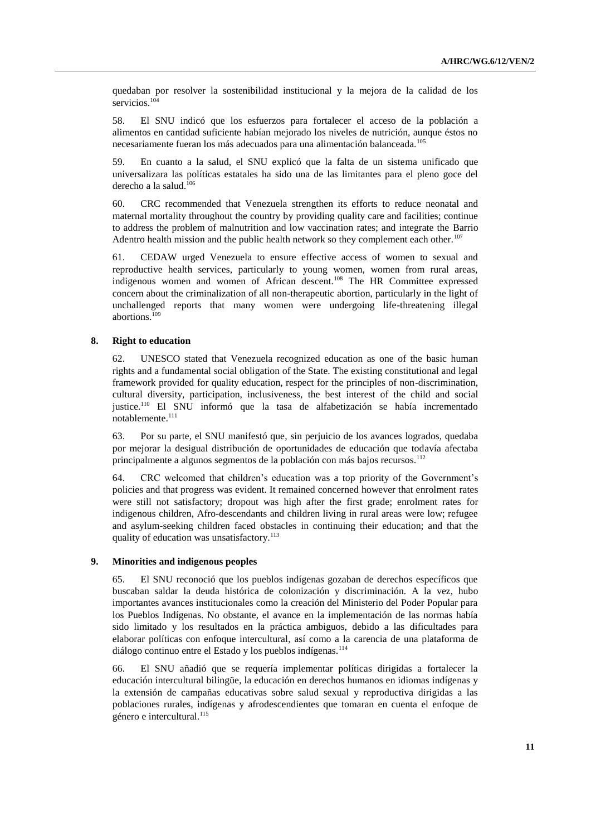quedaban por resolver la sostenibilidad institucional y la mejora de la calidad de los servicios.<sup>104</sup>

58. El SNU indicó que los esfuerzos para fortalecer el acceso de la población a alimentos en cantidad suficiente habían mejorado los niveles de nutrición, aunque éstos no necesariamente fueran los más adecuados para una alimentación balanceada.<sup>105</sup>

59. En cuanto a la salud, el SNU explicó que la falta de un sistema unificado que universalizara las políticas estatales ha sido una de las limitantes para el pleno goce del derecho a la salud.<sup>106</sup>

60. CRC recommended that Venezuela strengthen its efforts to reduce neonatal and maternal mortality throughout the country by providing quality care and facilities; continue to address the problem of malnutrition and low vaccination rates; and integrate the Barrio Adentro health mission and the public health network so they complement each other.<sup>107</sup>

61. CEDAW urged Venezuela to ensure effective access of women to sexual and reproductive health services, particularly to young women, women from rural areas, indigenous women and women of African descent.<sup>108</sup> The HR Committee expressed concern about the criminalization of all non-therapeutic abortion, particularly in the light of unchallenged reports that many women were undergoing life-threatening illegal abortions.<sup>109</sup>

#### **8. Right to education**

62. UNESCO stated that Venezuela recognized education as one of the basic human rights and a fundamental social obligation of the State. The existing constitutional and legal framework provided for quality education, respect for the principles of non-discrimination, cultural diversity, participation, inclusiveness, the best interest of the child and social justice.<sup>110</sup> El SNU informó que la tasa de alfabetización se había incrementado notablemente.<sup>111</sup>

63. Por su parte, el SNU manifestó que, sin perjuicio de los avances logrados, quedaba por mejorar la desigual distribución de oportunidades de educación que todavía afectaba principalmente a algunos segmentos de la población con más bajos recursos.<sup>112</sup>

64. CRC welcomed that children's education was a top priority of the Government's policies and that progress was evident. It remained concerned however that enrolment rates were still not satisfactory; dropout was high after the first grade; enrolment rates for indigenous children, Afro-descendants and children living in rural areas were low; refugee and asylum-seeking children faced obstacles in continuing their education; and that the quality of education was unsatisfactory.<sup>113</sup>

#### **9. Minorities and indigenous peoples**

65. El SNU reconoció que los pueblos indígenas gozaban de derechos específicos que buscaban saldar la deuda histórica de colonización y discriminación. A la vez, hubo importantes avances institucionales como la creación del Ministerio del Poder Popular para los Pueblos Indígenas. No obstante, el avance en la implementación de las normas había sido limitado y los resultados en la práctica ambiguos, debido a las dificultades para elaborar políticas con enfoque intercultural, así como a la carencia de una plataforma de diálogo continuo entre el Estado y los pueblos indígenas.<sup>114</sup>

66. El SNU añadió que se requería implementar políticas dirigidas a fortalecer la educación intercultural bilingüe, la educación en derechos humanos en idiomas indígenas y la extensión de campañas educativas sobre salud sexual y reproductiva dirigidas a las poblaciones rurales, indígenas y afrodescendientes que tomaran en cuenta el enfoque de género e intercultural.<sup>115</sup>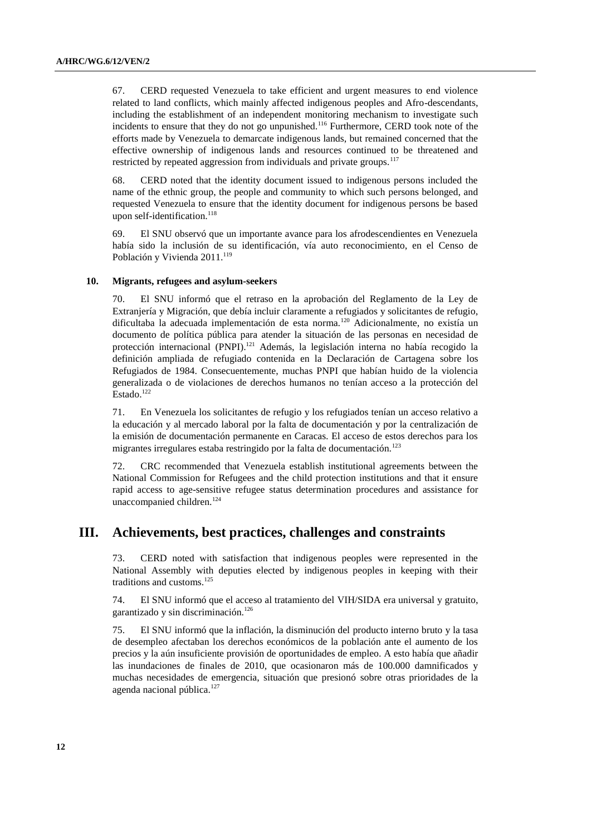67. CERD requested Venezuela to take efficient and urgent measures to end violence related to land conflicts, which mainly affected indigenous peoples and Afro-descendants, including the establishment of an independent monitoring mechanism to investigate such incidents to ensure that they do not go unpunished.<sup>116</sup> Furthermore, CERD took note of the efforts made by Venezuela to demarcate indigenous lands, but remained concerned that the effective ownership of indigenous lands and resources continued to be threatened and restricted by repeated aggression from individuals and private groups.<sup>117</sup>

68. CERD noted that the identity document issued to indigenous persons included the name of the ethnic group, the people and community to which such persons belonged, and requested Venezuela to ensure that the identity document for indigenous persons be based upon self-identification.<sup>118</sup>

69. El SNU observó que un importante avance para los afrodescendientes en Venezuela había sido la inclusión de su identificación, vía auto reconocimiento, en el Censo de Población y Vivienda 2011.<sup>119</sup>

#### **10. Migrants, refugees and asylum-seekers**

70. El SNU informó que el retraso en la aprobación del Reglamento de la Ley de Extranjería y Migración, que debía incluir claramente a refugiados y solicitantes de refugio, dificultaba la adecuada implementación de esta norma.<sup>120</sup> Adicionalmente, no existía un documento de política pública para atender la situación de las personas en necesidad de protección internacional (PNPI).<sup>121</sup> Además, la legislación interna no había recogido la definición ampliada de refugiado contenida en la Declaración de Cartagena sobre los Refugiados de 1984. Consecuentemente, muchas PNPI que habían huido de la violencia generalizada o de violaciones de derechos humanos no tenían acceso a la protección del Estado.<sup>122</sup>

71. En Venezuela los solicitantes de refugio y los refugiados tenían un acceso relativo a la educación y al mercado laboral por la falta de documentación y por la centralización de la emisión de documentación permanente en Caracas. El acceso de estos derechos para los migrantes irregulares estaba restringido por la falta de documentación.<sup>123</sup>

72. CRC recommended that Venezuela establish institutional agreements between the National Commission for Refugees and the child protection institutions and that it ensure rapid access to age-sensitive refugee status determination procedures and assistance for unaccompanied children.<sup>124</sup>

### **III. Achievements, best practices, challenges and constraints**

73. CERD noted with satisfaction that indigenous peoples were represented in the National Assembly with deputies elected by indigenous peoples in keeping with their traditions and customs.<sup>125</sup>

74. El SNU informó que el acceso al tratamiento del VIH/SIDA era universal y gratuito, garantizado y sin discriminación.<sup>126</sup>

75. El SNU informó que la inflación, la disminución del producto interno bruto y la tasa de desempleo afectaban los derechos económicos de la población ante el aumento de los precios y la aún insuficiente provisión de oportunidades de empleo. A esto había que añadir las inundaciones de finales de 2010, que ocasionaron más de 100.000 damnificados y muchas necesidades de emergencia, situación que presionó sobre otras prioridades de la agenda nacional pública.<sup>127</sup>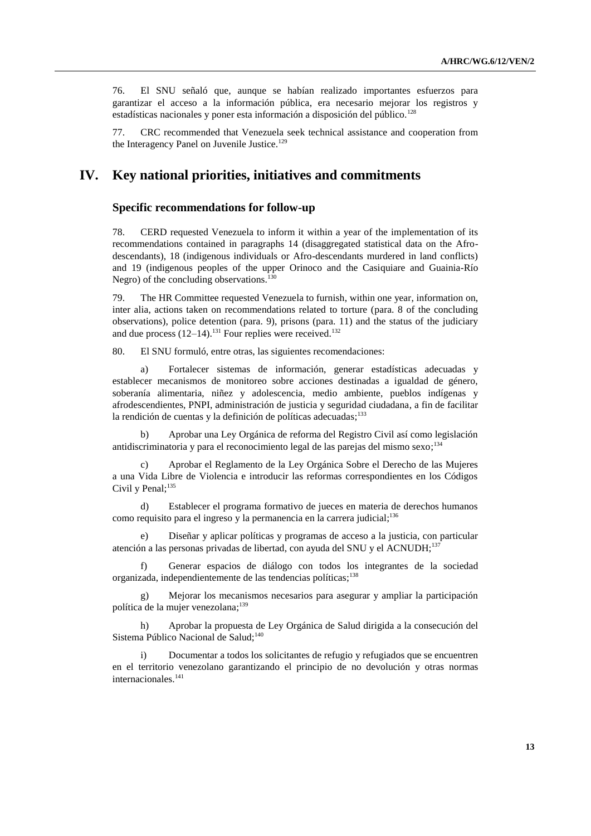76. El SNU señaló que, aunque se habían realizado importantes esfuerzos para garantizar el acceso a la información pública, era necesario mejorar los registros y estadísticas nacionales y poner esta información a disposición del público.<sup>128</sup>

77. CRC recommended that Venezuela seek technical assistance and cooperation from the Interagency Panel on Juvenile Justice.<sup>129</sup>

## **IV. Key national priorities, initiatives and commitments**

#### **Specific recommendations for follow-up**

78. CERD requested Venezuela to inform it within a year of the implementation of its recommendations contained in paragraphs 14 (disaggregated statistical data on the Afrodescendants), 18 (indigenous individuals or Afro-descendants murdered in land conflicts) and 19 (indigenous peoples of the upper Orinoco and the Casiquiare and Guainia-Río Negro) of the concluding observations.<sup>130</sup>

79. The HR Committee requested Venezuela to furnish, within one year, information on, inter alia, actions taken on recommendations related to torture (para. 8 of the concluding observations), police detention (para. 9), prisons (para. 11) and the status of the judiciary and due process  $(12-14)$ .<sup>131</sup> Four replies were received.<sup>132</sup>

80. El SNU formuló, entre otras, las siguientes recomendaciones:

a) Fortalecer sistemas de información, generar estadísticas adecuadas y establecer mecanismos de monitoreo sobre acciones destinadas a igualdad de género, soberanía alimentaria, niñez y adolescencia, medio ambiente, pueblos indígenas y afrodescendientes, PNPI, administración de justicia y seguridad ciudadana, a fin de facilitar la rendición de cuentas y la definición de políticas adecuadas;<sup>133</sup>

b) Aprobar una Ley Orgánica de reforma del Registro Civil así como legislación antidiscriminatoria y para el reconocimiento legal de las parejas del mismo sexo; 134

c) Aprobar el Reglamento de la Ley Orgánica Sobre el Derecho de las Mujeres a una Vida Libre de Violencia e introducir las reformas correspondientes en los Códigos Civil y Penal;<sup>135</sup>

d) Establecer el programa formativo de jueces en materia de derechos humanos como requisito para el ingreso y la permanencia en la carrera judicial; 136

e) Diseñar y aplicar políticas y programas de acceso a la justicia, con particular atención a las personas privadas de libertad, con ayuda del SNU y el ACNUDH;<sup>137</sup>

f) Generar espacios de diálogo con todos los integrantes de la sociedad organizada, independientemente de las tendencias políticas; 138

g) Mejorar los mecanismos necesarios para asegurar y ampliar la participación política de la mujer venezolana; 139

h) Aprobar la propuesta de Ley Orgánica de Salud dirigida a la consecución del Sistema Público Nacional de Salud;<sup>140</sup>

i) Documentar a todos los solicitantes de refugio y refugiados que se encuentren en el territorio venezolano garantizando el principio de no devolución y otras normas internacionales.<sup>141</sup>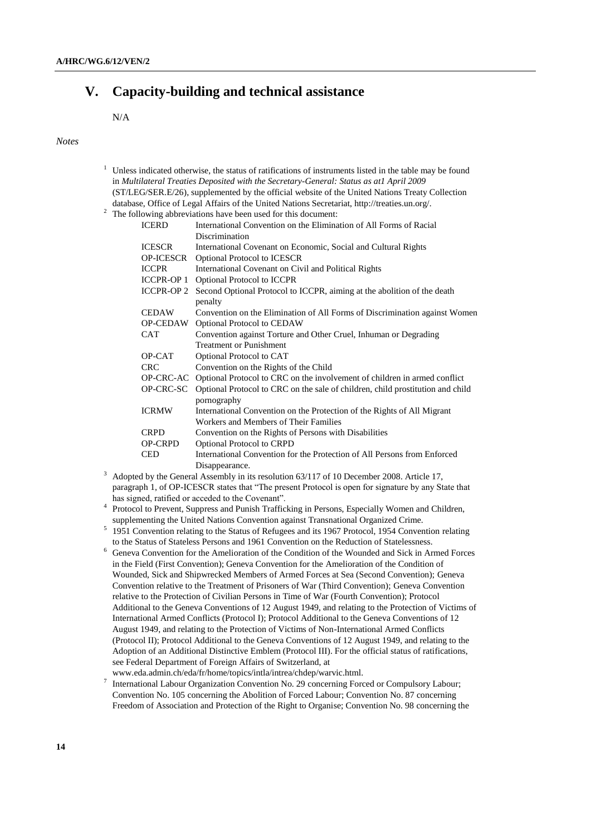# **V. Capacity-building and technical assistance**

N/A

#### *Notes*

- $1$  Unless indicated otherwise, the status of ratifications of instruments listed in the table may be found in *Multilateral Treaties Deposited with the Secretary-General: Status as at1 April 2009* (ST/LEG/SER.E/26), supplemented by the official website of the United Nations Treaty Collection database, Office of Legal Affairs of the United Nations Secretariat, http://treaties.un.org/.
- <sup>2</sup> The following abbreviations have been used for this document:

| <b>ICERD</b>      | International Convention on the Elimination of All Forms of Racial                  |
|-------------------|-------------------------------------------------------------------------------------|
|                   | Discrimination                                                                      |
| <b>ICESCR</b>     | International Covenant on Economic, Social and Cultural Rights                      |
| OP-ICESCR         | <b>Optional Protocol to ICESCR</b>                                                  |
| <b>ICCPR</b>      | International Covenant on Civil and Political Rights                                |
| <b>ICCPR-OP 1</b> | <b>Optional Protocol to ICCPR</b>                                                   |
| <b>ICCPR-OP 2</b> | Second Optional Protocol to ICCPR, aiming at the abolition of the death             |
|                   | penalty                                                                             |
| <b>CEDAW</b>      | Convention on the Elimination of All Forms of Discrimination against Women          |
| OP-CEDAW          | <b>Optional Protocol to CEDAW</b>                                                   |
| <b>CAT</b>        | Convention against Torture and Other Cruel, Inhuman or Degrading                    |
|                   | <b>Treatment or Punishment</b>                                                      |
| OP-CAT            | Optional Protocol to CAT                                                            |
| <b>CRC</b>        | Convention on the Rights of the Child                                               |
|                   | OP-CRC-AC Optional Protocol to CRC on the involvement of children in armed conflict |
| OP-CRC-SC         | Optional Protocol to CRC on the sale of children, child prostitution and child      |
|                   | pornography                                                                         |
| <b>ICRMW</b>      | International Convention on the Protection of the Rights of All Migrant             |
|                   | Workers and Members of Their Families                                               |
| <b>CRPD</b>       | Convention on the Rights of Persons with Disabilities                               |
| OP-CRPD           | <b>Optional Protocol to CRPD</b>                                                    |
| CED               | International Convention for the Protection of All Persons from Enforced            |
|                   | Disappearance.                                                                      |

- <sup>3</sup> Adopted by the General Assembly in its resolution 63/117 of 10 December 2008. Article 17, paragraph 1, of OP-ICESCR states that "The present Protocol is open for signature by any State that has signed, ratified or acceded to the Covenant".
- <sup>4</sup> Protocol to Prevent, Suppress and Punish Trafficking in Persons, Especially Women and Children, supplementing the United Nations Convention against Transnational Organized Crime.
- <sup>5</sup> 1951 Convention relating to the Status of Refugees and its 1967 Protocol, 1954 Convention relating to the Status of Stateless Persons and 1961 Convention on the Reduction of Statelessness.
- <sup>6</sup> Geneva Convention for the Amelioration of the Condition of the Wounded and Sick in Armed Forces in the Field (First Convention); Geneva Convention for the Amelioration of the Condition of Wounded, Sick and Shipwrecked Members of Armed Forces at Sea (Second Convention); Geneva Convention relative to the Treatment of Prisoners of War (Third Convention); Geneva Convention relative to the Protection of Civilian Persons in Time of War (Fourth Convention); Protocol Additional to the Geneva Conventions of 12 August 1949, and relating to the Protection of Victims of International Armed Conflicts (Protocol I); Protocol Additional to the Geneva Conventions of 12 August 1949, and relating to the Protection of Victims of Non-International Armed Conflicts (Protocol II); Protocol Additional to the Geneva Conventions of 12 August 1949, and relating to the Adoption of an Additional Distinctive Emblem (Protocol III). For the official status of ratifications, see Federal Department of Foreign Affairs of Switzerland, at
- www.eda.admin.ch/eda/fr/home/topics/intla/intrea/chdep/warvic.html. 7 International Labour Organization Convention No. 29 concerning Forced or Compulsory Labour; Convention No. 105 concerning the Abolition of Forced Labour; Convention No. 87 concerning Freedom of Association and Protection of the Right to Organise; Convention No. 98 concerning the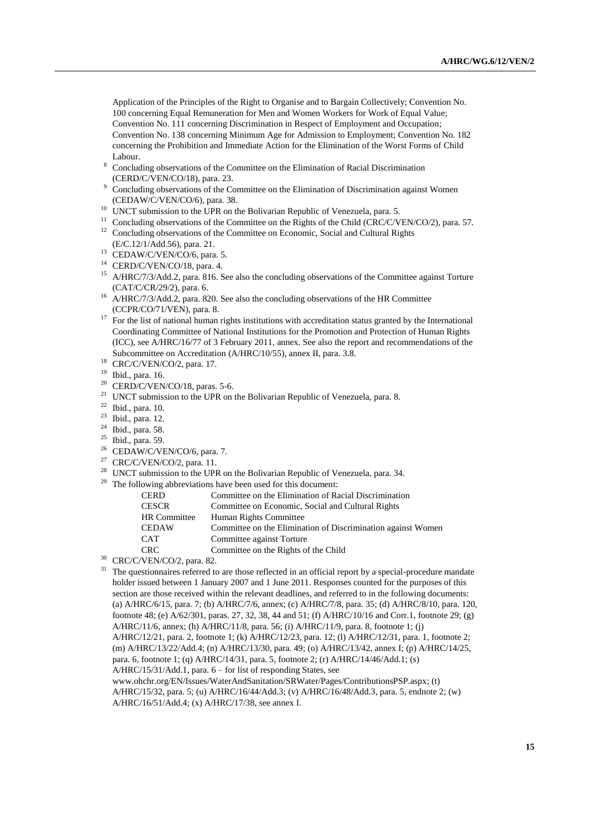Application of the Principles of the Right to Organise and to Bargain Collectively; Convention No. 100 concerning Equal Remuneration for Men and Women Workers for Work of Equal Value; Convention No. 111 concerning Discrimination in Respect of Employment and Occupation; Convention No. 138 concerning Minimum Age for Admission to Employment; Convention No. 182 concerning the Prohibition and Immediate Action for the Elimination of the Worst Forms of Child Labour.

- <sup>8</sup> Concluding observations of the Committee on the Elimination of Racial Discrimination (CERD/C/VEN/CO/18), para. 23.
- <sup>9</sup> Concluding observations of the Committee on the Elimination of Discrimination against Women (CEDAW/C/VEN/CO/6), para. 38.
- <sup>10</sup> UNCT submission to the UPR on the Bolivarian Republic of Venezuela, para. 5.
- <sup>11</sup> Concluding observations of the Committee on the Rights of the Child (CRC/C/VEN/CO/2), para. 57. <sup>12</sup> Concluding observations of the Committee on Economic, Social and Cultural Rights
- (E/C.12/1/Add.56), para. 21.
- <sup>13</sup> CEDAW/C/VEN/CO/6, para. 5.
- <sup>14</sup> CERD/C/VEN/CO/18, para. 4.
- <sup>15</sup> A/HRC/7/3/Add.2, para. 816. See also the concluding observations of the Committee against Torture (CAT/C/CR/29/2), para. 6.
- <sup>16</sup> A/HRC/7/3/Add.2, para. 820. See also the concluding observations of the HR Committee (CCPR/CO/71/VEN), para. 8.
- <sup>17</sup> For the list of national human rights institutions with accreditation status granted by the International Coordinating Committee of National Institutions for the Promotion and Protection of Human Rights (ICC), see A/HRC/16/77 of 3 February 2011, annex. See also the report and recommendations of the Subcommittee on Accreditation (A/HRC/10/55), annex II, para. 3.8.
- <sup>18</sup> CRC/C/VEN/CO/2, para. 17.
- <sup>19</sup> Ibid., para. 16.<br><sup>20</sup> CEPD/C/VEN
- CERD/C/VEN/CO/18, paras. 5-6.
- <sup>21</sup> UNCT submission to the UPR on the Bolivarian Republic of Venezuela, para. 8.
- $^{22}$  Ibid., para. 10.<br> $^{23}$  Ibid., para. 12.
- Ibid., para. 12.
- $24$  Ibid., para. 58.
- $25$  Ibid., para. 59.
- <sup>26</sup> CEDAW/C/VEN/CO/6, para. 7.
- $27$  CRC/C/VEN/CO/2, para. 11.
- <sup>28</sup> UNCT submission to the UPR on the Bolivarian Republic of Venezuela, para. 34.
- <sup>29</sup> The following abbreviations have been used for this document:

| <b>CERD</b>         | Committee on the Elimination of Racial Discrimination        |
|---------------------|--------------------------------------------------------------|
| <b>CESCR</b>        | Committee on Economic, Social and Cultural Rights            |
| <b>HR</b> Committee | Human Rights Committee                                       |
| <b>CEDAW</b>        | Committee on the Elimination of Discrimination against Women |
| <b>CAT</b>          | Committee against Torture                                    |
| <b>CRC</b>          | Committee on the Rights of the Child                         |
|                     |                                                              |

<sup>30</sup> CRC/C/VEN/CO/2, para. 82.

<sup>31</sup> The questionnaires referred to are those reflected in an official report by a special-procedure mandate holder issued between 1 January 2007 and 1 June 2011. Responses counted for the purposes of this section are those received within the relevant deadlines, and referred to in the following documents: (a) A/HRC/6/15, para. 7; (b) A/HRC/7/6, annex; (c) A/HRC/7/8, para. 35; (d) A/HRC/8/10, para. 120, footnote 48; (e) A/62/301, paras. 27, 32, 38, 44 and 51; (f) A/HRC/10/16 and Corr.1, footnote 29; (g) A/HRC/11/6, annex; (h) A/HRC/11/8, para. 56; (i) A/HRC/11/9, para. 8, footnote 1; (j) A/HRC/12/21, para. 2, footnote 1; (k) A/HRC/12/23, para. 12; (l) A/HRC/12/31, para. 1, footnote 2; (m) A/HRC/13/22/Add.4; (n) A/HRC/13/30, para. 49; (o) A/HRC/13/42, annex I; (p) A/HRC/14/25, para. 6, footnote 1; (q) A/HRC/14/31, para. 5, footnote 2; (r) A/HRC/14/46/Add.1; (s) A/HRC/15/31/Add.1, para. 6 – for list of responding States, see www.ohchr.org/EN/Issues/WaterAndSanitation/SRWater/Pages/ContributionsPSP.aspx; (t) A/HRC/15/32, para. 5; (u) A/HRC/16/44/Add.3; (v) A/HRC/16/48/Add.3, para. 5, endnote 2; (w)

A/HRC/16/51/Add.4; (x) A/HRC/17/38, see annex I.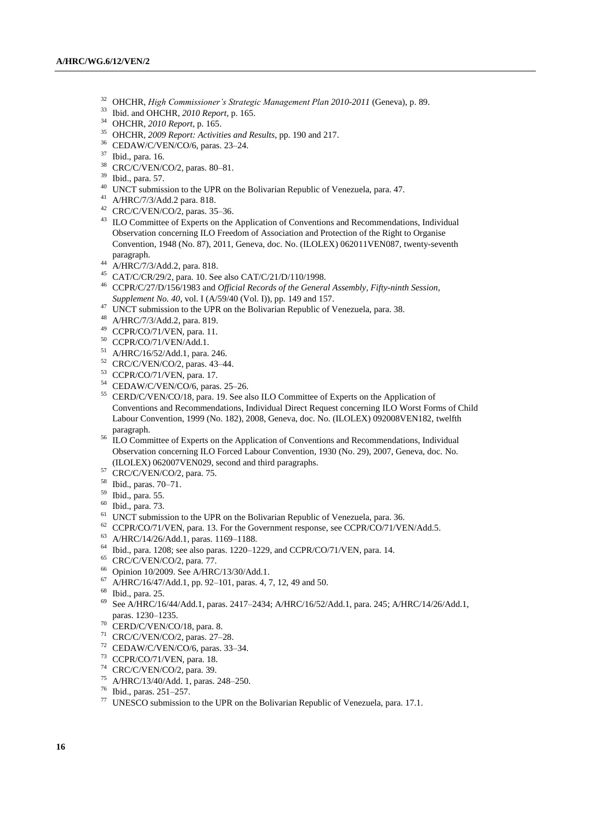- OHCHR, *High Commissioner's Strategic Management Plan 2010-2011* (Geneva), p. 89.
- Ibid. and OHCHR, *2010 Report*, p. 165.
- OHCHR, *2010 Report*, p. 165.
- OHCHR, *2009 Report: Activities and Results*, pp. 190 and 217.
- CEDAW/C/VEN/CO/6, paras. 23–24.
- Ibid., para. 16.
- CRC/C/VEN/CO/2, paras. 80–81.
- Ibid., para. 57.
- <sup>40</sup> UNCT submission to the UPR on the Bolivarian Republic of Venezuela, para. 47.
- A/HRC/7/3/Add.2 para. 818.
- CRC/C/VEN/CO/2, paras. 35–36.
- <sup>43</sup> ILO Committee of Experts on the Application of Conventions and Recommendations, Individual Observation concerning ILO Freedom of Association and Protection of the Right to Organise Convention, 1948 (No. 87), 2011, Geneva, doc. No. (ILOLEX) 062011VEN087, twenty-seventh paragraph.
- A/HRC/7/3/Add.2, para. 818.
- CAT/C/CR/29/2, para. 10. See also CAT/C/21/D/110/1998.
- CCPR/C/27/D/156/1983 and *Official Records of the General Assembly, Fifty-ninth Session, Supplement No. 40*, vol. I (A/59/40 (Vol. I)), pp. 149 and 157.
- <sup>47</sup> UNCT submission to the UPR on the Bolivarian Republic of Venezuela, para. 38.
- A/HRC/7/3/Add.2, para. 819.
- CCPR/CO/71/VEN, para. 11.
- CCPR/CO/71/VEN/Add.1.
- A/HRC/16/52/Add.1, para. 246.
- CRC/C/VEN/CO/2, paras. 43–44.
- CCPR/CO/71/VEN, para. 17.
- CEDAW/C/VEN/CO/6, paras. 25–26.
- CERD/C/VEN/CO/18, para. 19. See also ILO Committee of Experts on the Application of Conventions and Recommendations, Individual Direct Request concerning ILO Worst Forms of Child Labour Convention, 1999 (No. 182), 2008, Geneva, doc. No. (ILOLEX) 092008VEN182, twelfth paragraph.
- <sup>56</sup> ILO Committee of Experts on the Application of Conventions and Recommendations, Individual Observation concerning ILO Forced Labour Convention, 1930 (No. 29), 2007, Geneva, doc. No. (ILOLEX) 062007VEN029, second and third paragraphs.
- CRC/C/VEN/CO/2, para. 75.
- Ibid., paras. 70–71.
- Ibid., para. 55.
- Ibid., para. 73.
- <sup>61</sup> UNCT submission to the UPR on the Bolivarian Republic of Venezuela, para. 36.
- CCPR/CO/71/VEN, para. 13. For the Government response, see CCPR/CO/71/VEN/Add.5.
- A/HRC/14/26/Add.1, paras. 1169–1188.
- Ibid., para. 1208; see also paras. 1220–1229, and CCPR/CO/71/VEN, para. 14.
- CRC/C/VEN/CO/2, para. 77.
- Opinion 10/2009. See A/HRC/13/30/Add.1.
- A/HRC/16/47/Add.1, pp. 92–101, paras. 4, 7, 12, 49 and 50.
- Ibid., para. 25.
- See A/HRC/16/44/Add.1, paras. 2417–2434; A/HRC/16/52/Add.1, para. 245; A/HRC/14/26/Add.1, paras. 1230–1235.
- CERD/C/VEN/CO/18, para. 8.
- CRC/C/VEN/CO/2, paras. 27–28.
- CEDAW/C/VEN/CO/6, paras. 33–34.
- CCPR/CO/71/VEN, para. 18.
- <sup>74</sup> CRC/C/VEN/CO/2, para. 39.
- A/HRC/13/40/Add. 1, paras. 248–250.
- Ibid., paras. 251–257.
- UNESCO submission to the UPR on the Bolivarian Republic of Venezuela, para. 17.1.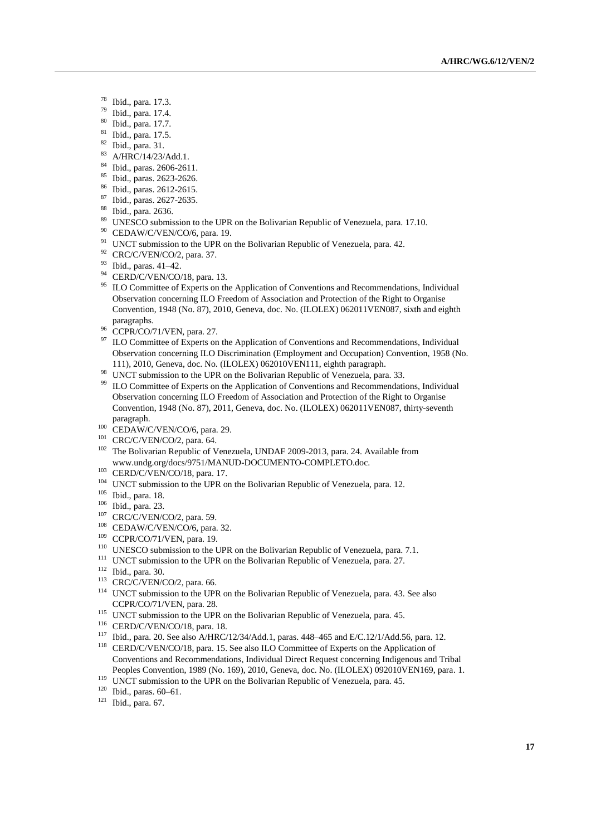- $^{78}$  Ibid., para. 17.3.<br> $^{79}$  Ibid. para. 17.4
- $^{79}$  Ibid., para. 17.4.
- $\frac{80}{81}$  Ibid., para. 17.7.
- $\frac{81}{82}$  Ibid., para. 17.5.
- $\frac{82}{83}$  Ibid., para. 31.
- A/HRC/14/23/Add.1.
- $^{84}$  Ibid., paras. 2606-2611.
- <sup>85</sup> Ibid., paras. 2623-2626.
- <sup>86</sup> Ibid., paras. 2612-2615.
- <sup>87</sup> Ibid., paras. 2627-2635.
- <sup>88</sup> Ibid., para. 2636.
- <sup>89</sup> UNESCO submission to the UPR on the Bolivarian Republic of Venezuela, para. 17.10.
- <sup>90</sup> CEDAW/C/VEN/CO/6, para. 19.
- <sup>91</sup> UNCT submission to the UPR on the Bolivarian Republic of Venezuela, para. 42.
- <sup>92</sup> CRC/C/VEN/CO/2, para. 37.
- <sup>93</sup> Ibid., paras. 41–42.
- <sup>94</sup> CERD/C/VEN/CO/18, para. 13.
- <sup>95</sup> ILO Committee of Experts on the Application of Conventions and Recommendations, Individual Observation concerning ILO Freedom of Association and Protection of the Right to Organise Convention, 1948 (No. 87), 2010, Geneva, doc. No. (ILOLEX) 062011VEN087, sixth and eighth paragraphs.
- 96 CCPR/CO/71/VEN, para. 27.
- <sup>97</sup> ILO Committee of Experts on the Application of Conventions and Recommendations, Individual Observation concerning ILO Discrimination (Employment and Occupation) Convention, 1958 (No. 111), 2010, Geneva, doc. No. (ILOLEX) 062010VEN111, eighth paragraph.
- <sup>98</sup> UNCT submission to the UPR on the Bolivarian Republic of Venezuela, para. 33.<br><sup>99</sup> U.O.Committee of Europts on the Application of Conventions and Becommondation
- ILO Committee of Experts on the Application of Conventions and Recommendations, Individual Observation concerning ILO Freedom of Association and Protection of the Right to Organise Convention, 1948 (No. 87), 2011, Geneva, doc. No. (ILOLEX) 062011VEN087, thirty-seventh paragraph.
- 100 CEDAW/C/VEN/CO/6, para. 29.
- <sup>101</sup> CRC/C/VEN/CO/2, para. 64.
- <sup>102</sup> The Bolivarian Republic of Venezuela, UNDAF 2009-2013, para. 24. Available from [www.undg.org/docs/9751/MANUD-DOCUMENTO-COMPLETO.doc.](http://www.undg.org/docs/9751/MANUD-DOCUMENTO-COMPLETO.doc)
- <sup>103</sup> CERD/C/VEN/CO/18, para. 17.
- <sup>104</sup> UNCT submission to the UPR on the Bolivarian Republic of Venezuela, para. 12.
- <sup>105</sup> Ibid., para. 18.
- <sup>106</sup> Ibid., para. 23.
- <sup>107</sup> CRC/C/VEN/CO/2, para. 59.
- <sup>108</sup> CEDAW/C/VEN/CO/6, para. 32.
- <sup>109</sup> CCPR/CO/71/VEN, para. 19.
- <sup>110</sup> UNESCO submission to the UPR on the Bolivarian Republic of Venezuela, para. 7.1.
- <sup>111</sup> UNCT submission to the UPR on the Bolivarian Republic of Venezuela, para. 27.
- <sup>112</sup> Ibid., para. 30.
- <sup>113</sup> CRC/C/VEN/CO/2, para. 66.
- <sup>114</sup> UNCT submission to the UPR on the Bolivarian Republic of Venezuela, para. 43. See also CCPR/CO/71/VEN, para. 28.
- <sup>115</sup> UNCT submission to the UPR on the Bolivarian Republic of Venezuela, para. 45.
- <sup>116</sup> CERD/C/VEN/CO/18, para. 18.
- <sup>117</sup> Ibid., para. 20. See also A/HRC/12/34/Add.1, paras. 448–465 and E/C.12/1/Add.56, para. 12.
- <sup>118</sup> CERD/C/VEN/CO/18, para. 15. See also ILO Committee of Experts on the Application of Conventions and Recommendations, Individual Direct Request concerning Indigenous and Tribal Peoples Convention, 1989 (No. 169), 2010, Geneva, doc. No. (ILOLEX) 092010VEN169, para. 1.
- <sup>119</sup> UNCT submission to the UPR on the Bolivarian Republic of Venezuela, para. 45.
- <sup>120</sup> Ibid., paras. 60–61.
- <sup>121</sup> Ibid., para. 67.